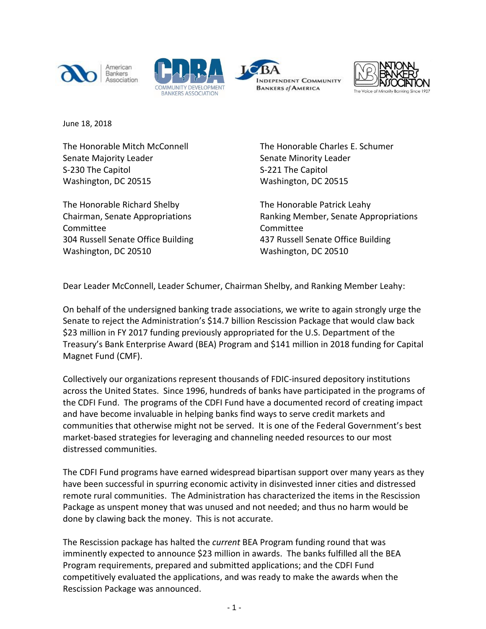







June 18, 2018

The Honorable Mitch McConnell Senate Majority Leader S-230 The Capitol Washington, DC 20515

The Honorable Richard Shelby Chairman, Senate Appropriations Committee 304 Russell Senate Office Building Washington, DC 20510

The Honorable Charles E. Schumer Senate Minority Leader S-221 The Capitol Washington, DC 20515

The Honorable Patrick Leahy Ranking Member, Senate Appropriations Committee 437 Russell Senate Office Building Washington, DC 20510

Dear Leader McConnell, Leader Schumer, Chairman Shelby, and Ranking Member Leahy:

On behalf of the undersigned banking trade associations, we write to again strongly urge the Senate to reject the Administration's \$14.7 billion Rescission Package that would claw back \$23 million in FY 2017 funding previously appropriated for the U.S. Department of the Treasury's Bank Enterprise Award (BEA) Program and \$141 million in 2018 funding for Capital Magnet Fund (CMF).

Collectively our organizations represent thousands of FDIC-insured depository institutions across the United States. Since 1996, hundreds of banks have participated in the programs of the CDFI Fund. The programs of the CDFI Fund have a documented record of creating impact and have become invaluable in helping banks find ways to serve credit markets and communities that otherwise might not be served. It is one of the Federal Government's best market-based strategies for leveraging and channeling needed resources to our most distressed communities.

The CDFI Fund programs have earned widespread bipartisan support over many years as they have been successful in spurring economic activity in disinvested inner cities and distressed remote rural communities. The Administration has characterized the items in the Rescission Package as unspent money that was unused and not needed; and thus no harm would be done by clawing back the money. This is not accurate.

The Rescission package has halted the *current* BEA Program funding round that was imminently expected to announce \$23 million in awards. The banks fulfilled all the BEA Program requirements, prepared and submitted applications; and the CDFI Fund competitively evaluated the applications, and was ready to make the awards when the Rescission Package was announced.